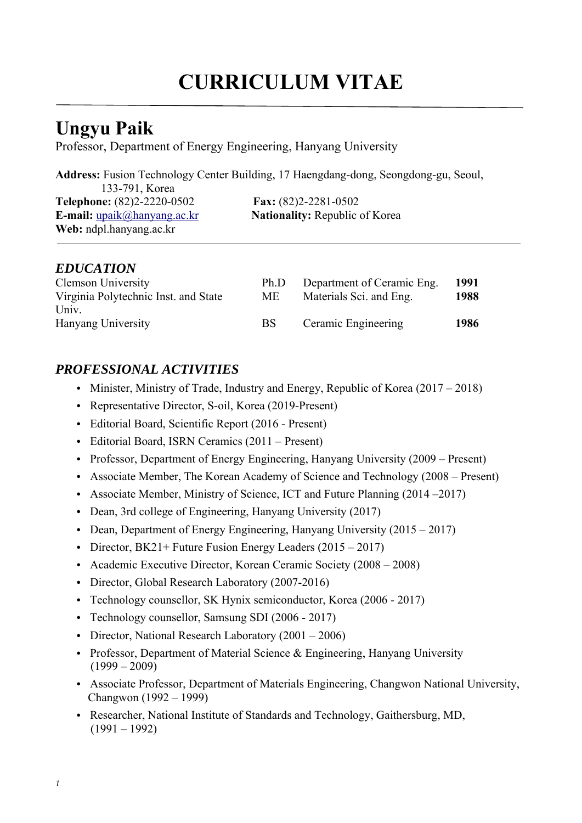# **CURRICULUM VITAE**

# **Ungyu Paik**

Professor, Department of Energy Engineering, Hanyang University

**Address:** Fusion Technology Center Building, 17 Haengdang-dong, Seongdong-gu, Seoul,

133-791, Korea **Telephone:** (82)2-2220-0502 **Fax:** (82)2-2281-0502 **Web:** ndpl.hanyang.ac.kr

**E-mail:** upaik@hanyang.ac.kr **Nationality:** Republic of Korea

### *EDUCATION*

| Clemson University                   | Ph.D      | Department of Ceramic Eng. | 1991 |
|--------------------------------------|-----------|----------------------------|------|
| Virginia Polytechnic Inst. and State | МE        | Materials Sci. and Eng.    | 1988 |
| Univ.                                |           |                            |      |
| Hanyang University                   | <b>BS</b> | Ceramic Engineering        | 1986 |
|                                      |           |                            |      |

# *PROFESSIONAL ACTIVITIES*

- Minister, Ministry of Trade, Industry and Energy, Republic of Korea (2017 2018)
- Representative Director, S-oil, Korea (2019-Present)
- Editorial Board, Scientific Report (2016 Present)
- Editorial Board, ISRN Ceramics (2011 Present)
- Professor, Department of Energy Engineering, Hanyang University (2009 Present)
- Associate Member, The Korean Academy of Science and Technology (2008 Present)
- Associate Member, Ministry of Science, ICT and Future Planning (2014–2017)
- Dean, 3rd college of Engineering, Hanyang University (2017)
- Dean, Department of Energy Engineering, Hanyang University (2015 2017)
- Director, BK21+ Future Fusion Energy Leaders  $(2015 2017)$
- Academic Executive Director, Korean Ceramic Society (2008 2008)
- Director, Global Research Laboratory (2007-2016)
- Technology counsellor, SK Hynix semiconductor, Korea (2006 2017)
- Technology counsellor, Samsung SDI (2006 2017)
- Director, National Research Laboratory (2001 2006)
- Professor, Department of Material Science & Engineering, Hanyang University  $(1999 - 2009)$
- Associate Professor, Department of Materials Engineering, Changwon National University, Changwon (1992 – 1999)
- Researcher, National Institute of Standards and Technology, Gaithersburg, MD,  $(1991 - 1992)$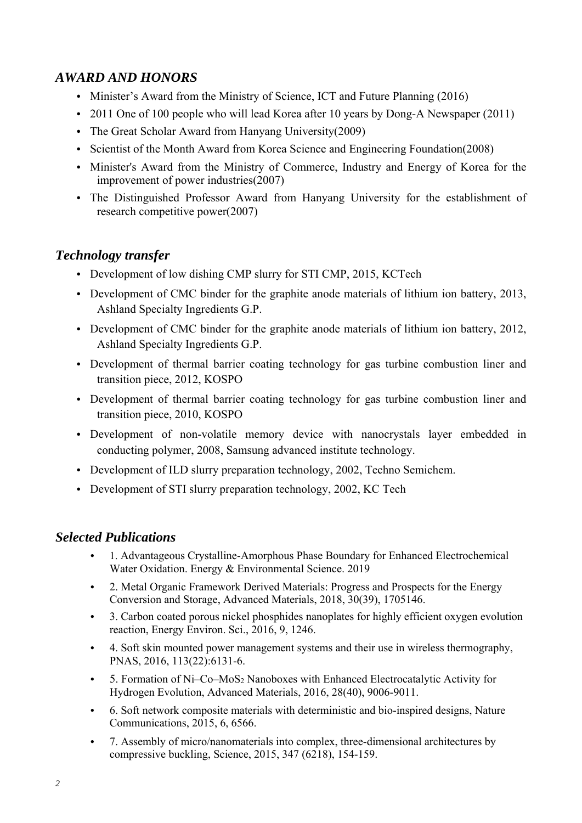# *AWARD AND HONORS*

- Minister's Award from the Ministry of Science, ICT and Future Planning (2016)
- 2011 One of 100 people who will lead Korea after 10 years by Dong-A Newspaper (2011)
- The Great Scholar Award from Hanyang University(2009)
- Scientist of the Month Award from Korea Science and Engineering Foundation(2008)
- Minister's Award from the Ministry of Commerce, Industry and Energy of Korea for the improvement of power industries(2007)
- The Distinguished Professor Award from Hanyang University for the establishment of research competitive power(2007)

#### *Technology transfer*

- Development of low dishing CMP slurry for STI CMP, 2015, KCTech
- Development of CMC binder for the graphite anode materials of lithium ion battery, 2013, Ashland Specialty Ingredients G.P.
- Development of CMC binder for the graphite anode materials of lithium ion battery, 2012, Ashland Specialty Ingredients G.P.
- Development of thermal barrier coating technology for gas turbine combustion liner and transition piece, 2012, KOSPO
- Development of thermal barrier coating technology for gas turbine combustion liner and transition piece, 2010, KOSPO
- Development of non-volatile memory device with nanocrystals layer embedded in conducting polymer, 2008, Samsung advanced institute technology.
- Development of ILD slurry preparation technology, 2002, Techno Semichem.
- Development of STI slurry preparation technology, 2002, KC Tech

#### *Selected Publications*

- 1. Advantageous Crystalline-Amorphous Phase Boundary for Enhanced Electrochemical Water Oxidation. Energy & Environmental Science. 2019
- 2. Metal Organic Framework Derived Materials: Progress and Prospects for the Energy Conversion and Storage, Advanced Materials, 2018, 30(39), 1705146.
- 3. Carbon coated porous nickel phosphides nanoplates for highly efficient oxygen evolution reaction, Energy Environ. Sci., 2016, 9, 1246.
- 4. Soft skin mounted power management systems and their use in wireless thermography, PNAS, 2016, 113(22):6131-6.
- 5. Formation of Ni–Co–MoS2 Nanoboxes with Enhanced Electrocatalytic Activity for Hydrogen Evolution, Advanced Materials, 2016, 28(40), 9006-9011.
- 6. Soft network composite materials with deterministic and bio-inspired designs, Nature Communications, 2015, 6, 6566.
- 7. Assembly of micro/nanomaterials into complex, three-dimensional architectures by compressive buckling, Science, 2015, 347 (6218), 154-159.